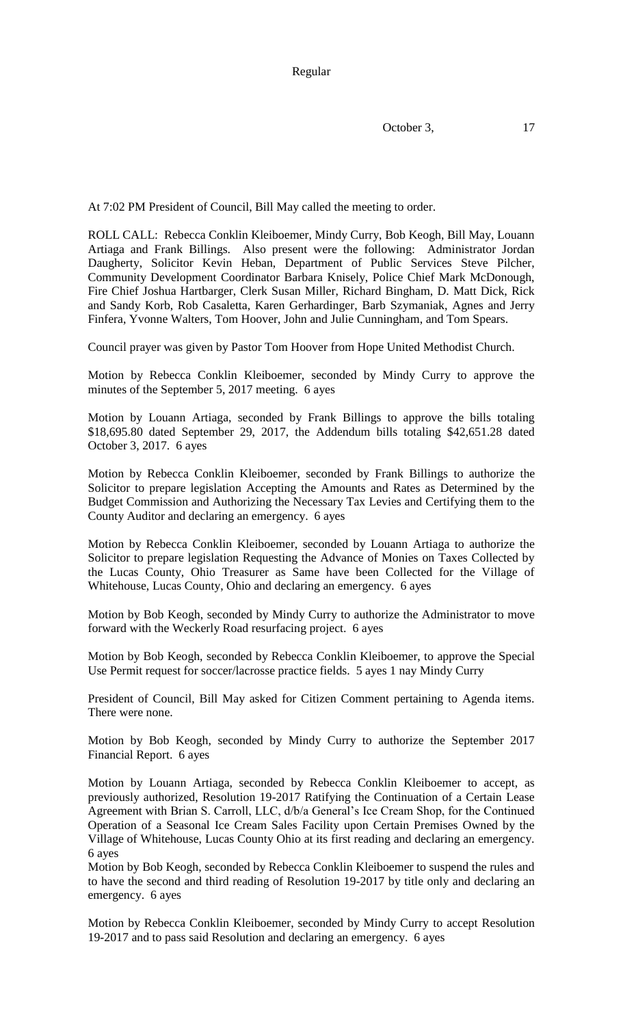Regular

October 3, 17

At 7:02 PM President of Council, Bill May called the meeting to order.

ROLL CALL: Rebecca Conklin Kleiboemer, Mindy Curry, Bob Keogh, Bill May, Louann Artiaga and Frank Billings. Also present were the following: Administrator Jordan Daugherty, Solicitor Kevin Heban, Department of Public Services Steve Pilcher, Community Development Coordinator Barbara Knisely, Police Chief Mark McDonough, Fire Chief Joshua Hartbarger, Clerk Susan Miller, Richard Bingham, D. Matt Dick, Rick and Sandy Korb, Rob Casaletta, Karen Gerhardinger, Barb Szymaniak, Agnes and Jerry Finfera, Yvonne Walters, Tom Hoover, John and Julie Cunningham, and Tom Spears.

Council prayer was given by Pastor Tom Hoover from Hope United Methodist Church.

Motion by Rebecca Conklin Kleiboemer, seconded by Mindy Curry to approve the minutes of the September 5, 2017 meeting. 6 ayes

Motion by Louann Artiaga, seconded by Frank Billings to approve the bills totaling \$18,695.80 dated September 29, 2017, the Addendum bills totaling \$42,651.28 dated October 3, 2017. 6 ayes

Motion by Rebecca Conklin Kleiboemer, seconded by Frank Billings to authorize the Solicitor to prepare legislation Accepting the Amounts and Rates as Determined by the Budget Commission and Authorizing the Necessary Tax Levies and Certifying them to the County Auditor and declaring an emergency. 6 ayes

Motion by Rebecca Conklin Kleiboemer, seconded by Louann Artiaga to authorize the Solicitor to prepare legislation Requesting the Advance of Monies on Taxes Collected by the Lucas County, Ohio Treasurer as Same have been Collected for the Village of Whitehouse, Lucas County, Ohio and declaring an emergency. 6 ayes

Motion by Bob Keogh, seconded by Mindy Curry to authorize the Administrator to move forward with the Weckerly Road resurfacing project. 6 ayes

Motion by Bob Keogh, seconded by Rebecca Conklin Kleiboemer, to approve the Special Use Permit request for soccer/lacrosse practice fields. 5 ayes 1 nay Mindy Curry

President of Council, Bill May asked for Citizen Comment pertaining to Agenda items. There were none.

Motion by Bob Keogh, seconded by Mindy Curry to authorize the September 2017 Financial Report. 6 ayes

Motion by Louann Artiaga, seconded by Rebecca Conklin Kleiboemer to accept, as previously authorized, Resolution 19-2017 Ratifying the Continuation of a Certain Lease Agreement with Brian S. Carroll, LLC, d/b/a General's Ice Cream Shop, for the Continued Operation of a Seasonal Ice Cream Sales Facility upon Certain Premises Owned by the Village of Whitehouse, Lucas County Ohio at its first reading and declaring an emergency. 6 ayes

Motion by Bob Keogh, seconded by Rebecca Conklin Kleiboemer to suspend the rules and to have the second and third reading of Resolution 19-2017 by title only and declaring an emergency. 6 ayes

Motion by Rebecca Conklin Kleiboemer, seconded by Mindy Curry to accept Resolution 19-2017 and to pass said Resolution and declaring an emergency. 6 ayes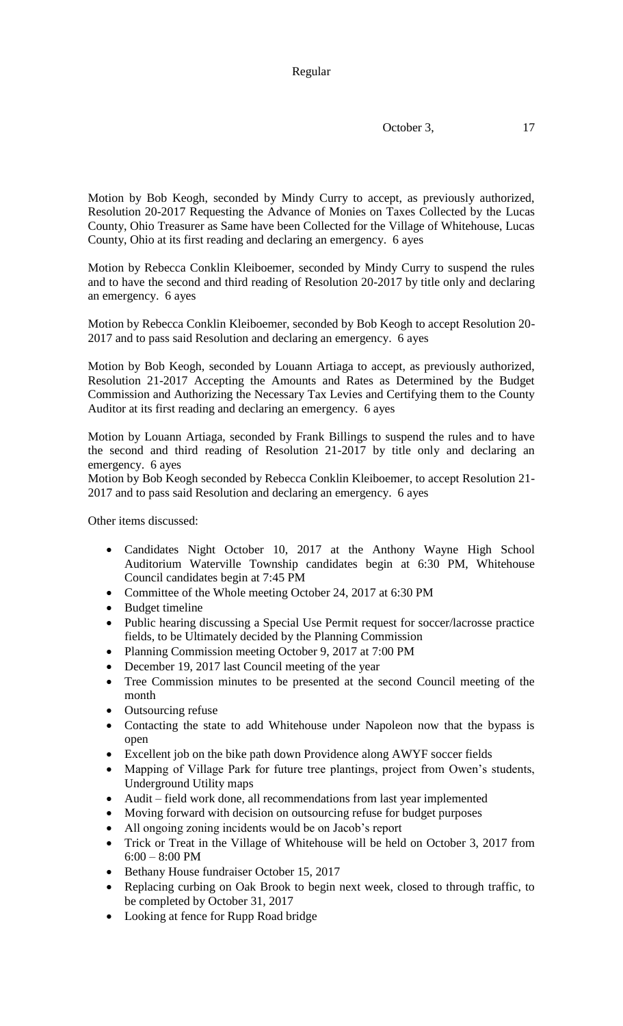October 3, 17

Motion by Bob Keogh, seconded by Mindy Curry to accept, as previously authorized, Resolution 20-2017 Requesting the Advance of Monies on Taxes Collected by the Lucas County, Ohio Treasurer as Same have been Collected for the Village of Whitehouse, Lucas County, Ohio at its first reading and declaring an emergency. 6 ayes

Motion by Rebecca Conklin Kleiboemer, seconded by Mindy Curry to suspend the rules and to have the second and third reading of Resolution 20-2017 by title only and declaring an emergency. 6 ayes

Motion by Rebecca Conklin Kleiboemer, seconded by Bob Keogh to accept Resolution 20- 2017 and to pass said Resolution and declaring an emergency. 6 ayes

Motion by Bob Keogh, seconded by Louann Artiaga to accept, as previously authorized, Resolution 21-2017 Accepting the Amounts and Rates as Determined by the Budget Commission and Authorizing the Necessary Tax Levies and Certifying them to the County Auditor at its first reading and declaring an emergency. 6 ayes

Motion by Louann Artiaga, seconded by Frank Billings to suspend the rules and to have the second and third reading of Resolution 21-2017 by title only and declaring an emergency. 6 ayes

Motion by Bob Keogh seconded by Rebecca Conklin Kleiboemer, to accept Resolution 21- 2017 and to pass said Resolution and declaring an emergency. 6 ayes

Other items discussed:

- Candidates Night October 10, 2017 at the Anthony Wayne High School Auditorium Waterville Township candidates begin at 6:30 PM, Whitehouse Council candidates begin at 7:45 PM
- Committee of the Whole meeting October 24, 2017 at 6:30 PM
- Budget timeline
- Public hearing discussing a Special Use Permit request for soccer/lacrosse practice fields, to be Ultimately decided by the Planning Commission
- Planning Commission meeting October 9, 2017 at 7:00 PM
- December 19, 2017 last Council meeting of the year
- Tree Commission minutes to be presented at the second Council meeting of the month
- Outsourcing refuse
- Contacting the state to add Whitehouse under Napoleon now that the bypass is open
- Excellent job on the bike path down Providence along AWYF soccer fields
- Mapping of Village Park for future tree plantings, project from Owen's students, Underground Utility maps
- Audit field work done, all recommendations from last year implemented
- Moving forward with decision on outsourcing refuse for budget purposes
- All ongoing zoning incidents would be on Jacob's report
- Trick or Treat in the Village of Whitehouse will be held on October 3, 2017 from 6:00 – 8:00 PM
- Bethany House fundraiser October 15, 2017
- Replacing curbing on Oak Brook to begin next week, closed to through traffic, to be completed by October 31, 2017
- Looking at fence for Rupp Road bridge